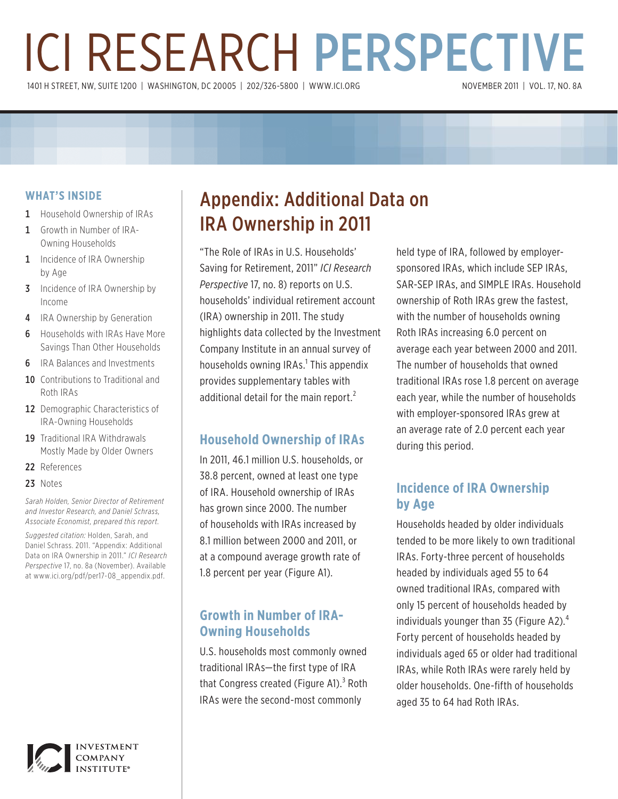# ICI RESEARCH PERSPECTIVE 1401 H STREET, NW, SUITE 1200 | WASHINGTON, DC 20005 | 202/326-5800 | WWW.ICI.ORG

#### **WHAT'S INSIDE**

- 1 Household Ownership of IRAs
- 1 Growth in Number of IRA-Owning Households
- 1 Incidence of IRA Ownership by Age
- **3** Incidence of IRA Ownership by Income
- 4 IRA Ownership by Generation
- **6** Households with IRAs Have More Savings Than Other Households
- **6** IRA Balances and Investments
- 10 Contributions to Traditional and Roth IRAs
- 12 Demographic Characteristics of IRA-Owning Households
- 19 Traditional IRA Withdrawals Mostly Made by Older Owners
- 22 References
- 23 Notes

*Sarah Holden, Senior Director of Retirement and Investor Research, and Daniel Schrass, Associate Economist, prepared this report.*

*Suggested citation:* Holden, Sarah, and Daniel Schrass. 2011. "Appendix: Additional Data on IRA Ownership in 2011." *ICI Research Perspective* 17, no. 8a (November). Available at www.ici.org/pdf/per17-08\_appendix.pdf.



## Appendix: Additional Data on IRA Ownership in 2011

"The Role of IRAs in U.S. Households' Saving for Retirement, 2011" *ICI Research Perspective* 17, no. 8) reports on U.S. households' individual retirement account (IRA) ownership in 2011. The study highlights data collected by the Investment Company Institute in an annual survey of households owning IRAs.<sup>1</sup> This appendix provides supplementary tables with additional detail for the main report. $<sup>2</sup>$ </sup>

### **Household Ownership of IRAs**

In 2011, 46.1 million U.S. households, or 38.8 percent, owned at least one type of IRA. Household ownership of IRAs has grown since 2000. The number of households with IRAs increased by 8.1 million between 2000 and 2011, or at a compound average growth rate of 1.8 percent per year (Figure A1).

### **Growth in Number of IRA-Owning Households**

U.S. households most commonly owned traditional IRAs—the first type of IRA that Congress created (Figure A1).<sup>3</sup> Roth IRAs were the second-most commonly

held type of IRA, followed by employersponsored IRAs, which include SEP IRAs, SAR-SEP IRAs, and SIMPLE IRAs. Household ownership of Roth IRAs grew the fastest, with the number of households owning Roth IRAs increasing 6.0 percent on average each year between 2000 and 2011. The number of households that owned traditional IRAs rose 1.8 percent on average each year, while the number of households with employer-sponsored IRAs grew at an average rate of 2.0 percent each year during this period.

### **Incidence of IRA Ownership by Age**

Households headed by older individuals tended to be more likely to own traditional IRAs. Forty-three percent of households headed by individuals aged 55 to 64 owned traditional IRAs, compared with only 15 percent of households headed by individuals younger than 35 (Figure A2). $4$ Forty percent of households headed by individuals aged 65 or older had traditional IRAs, while Roth IRAs were rarely held by older households. One-fifth of households aged 35 to 64 had Roth IRAs.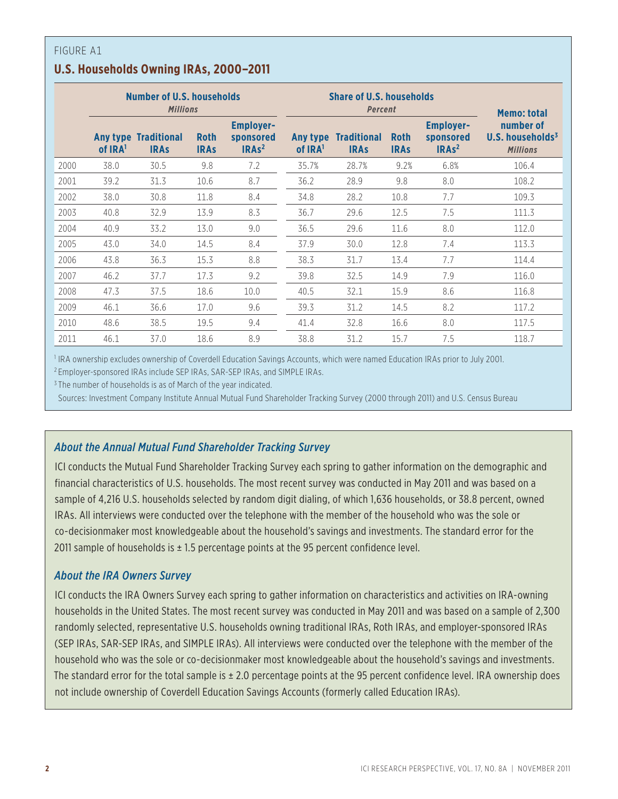#### **U.S. Households Owning IRAs, 2000–2011**

|      | Number of U.S. households<br><b>Millions</b> |                                            |                            |                                                    |                                 | <b>Share of U.S. households</b><br><b>Percent</b> | <b>Memo: total</b>         |                                                               |                                                     |
|------|----------------------------------------------|--------------------------------------------|----------------------------|----------------------------------------------------|---------------------------------|---------------------------------------------------|----------------------------|---------------------------------------------------------------|-----------------------------------------------------|
|      | of IRA <sup>1</sup>                          | <b>Any type Traditional</b><br><b>IRAS</b> | <b>Roth</b><br><b>IRAs</b> | <b>Employer-</b><br>sponsored<br>IRAs <sup>2</sup> | Any type<br>of IRA <sup>1</sup> | <b>Traditional</b><br><b>IRAS</b>                 | <b>Roth</b><br><b>IRAs</b> | <b>Employer-</b><br>sponsored<br>IRA <sub>s<sup>2</sup></sub> | number of<br>U.S. households $3$<br><b>Millions</b> |
| 2000 | 38.0                                         | 30.5                                       | 9.8                        | 7.2                                                | 35.7%                           | 28.7%                                             | 9.2%                       | 6.8%                                                          | 106.4                                               |
| 2001 | 39.2                                         | 31.3                                       | 10.6                       | 8.7                                                | 36.2                            | 28.9                                              | 9.8                        | 8.0                                                           | 108.2                                               |
| 2002 | 38.0                                         | 30.8                                       | 11.8                       | 8.4                                                | 34.8                            | 28.2                                              | 10.8                       | 7.7                                                           | 109.3                                               |
| 2003 | 40.8                                         | 32.9                                       | 13.9                       | 8.3                                                | 36.7                            | 29.6                                              | 12.5                       | 7.5                                                           | 111.3                                               |
| 2004 | 40.9                                         | 33.2                                       | 13.0                       | 9.0                                                | 36.5                            | 29.6                                              | 11.6                       | 8.0                                                           | 112.0                                               |
| 2005 | 43.0                                         | 34.0                                       | 14.5                       | 8.4                                                | 37.9                            | 30.0                                              | 12.8                       | 7.4                                                           | 113.3                                               |
| 2006 | 43.8                                         | 36.3                                       | 15.3                       | 8.8                                                | 38.3                            | 31.7                                              | 13.4                       | 7.7                                                           | 114.4                                               |
| 2007 | 46.2                                         | 37.7                                       | 17.3                       | 9.2                                                | 39.8                            | 32.5                                              | 14.9                       | 7.9                                                           | 116.0                                               |
| 2008 | 47.3                                         | 37.5                                       | 18.6                       | 10.0                                               | 40.5                            | 32.1                                              | 15.9                       | 8.6                                                           | 116.8                                               |
| 2009 | 46.1                                         | 36.6                                       | 17.0                       | 9.6                                                | 39.3                            | 31.2                                              | 14.5                       | 8.2                                                           | 117.2                                               |
| 2010 | 48.6                                         | 38.5                                       | 19.5                       | 9.4                                                | 41.4                            | 32.8                                              | 16.6                       | 8.0                                                           | 117.5                                               |
| 2011 | 46.1                                         | 37.0                                       | 18.6                       | 8.9                                                | 38.8                            | 31.2                                              | 15.7                       | 7.5                                                           | 118.7                                               |

<sup>1</sup> IRA ownership excludes ownership of Coverdell Education Savings Accounts, which were named Education IRAs prior to July 2001.

2 Employer-sponsored IRAs include SEP IRAs, SAR-SEP IRAs, and SIMPLE IRAs.

<sup>3</sup> The number of households is as of March of the year indicated.

Sources: Investment Company Institute Annual Mutual Fund Shareholder Tracking Survey (2000 through 2011) and U.S. Census Bureau

#### *About the Annual Mutual Fund Shareholder Tracking Survey*

ICI conducts the Mutual Fund Shareholder Tracking Survey each spring to gather information on the demographic and financial characteristics of U.S. households. The most recent survey was conducted in May 2011 and was based on a sample of 4,216 U.S. households selected by random digit dialing, of which 1,636 households, or 38.8 percent, owned IRAs. All interviews were conducted over the telephone with the member of the household who was the sole or co-decisionmaker most knowledgeable about the household's savings and investments. The standard error for the 2011 sample of households is  $\pm$  1.5 percentage points at the 95 percent confidence level.

#### *About the IRA Owners Survey*

ICI conducts the IRA Owners Survey each spring to gather information on characteristics and activities on IRA-owning households in the United States. The most recent survey was conducted in May 2011 and was based on a sample of 2,300 randomly selected, representative U.S. households owning traditional IRAs, Roth IRAs, and employer-sponsored IRAs (SEP IRAs, SAR-SEP IRAs, and SIMPLE IRAs). All interviews were conducted over the telephone with the member of the household who was the sole or co-decisionmaker most knowledgeable about the household's savings and investments. The standard error for the total sample is  $\pm$  2.0 percentage points at the 95 percent confidence level. IRA ownership does not include ownership of Coverdell Education Savings Accounts (formerly called Education IRAs).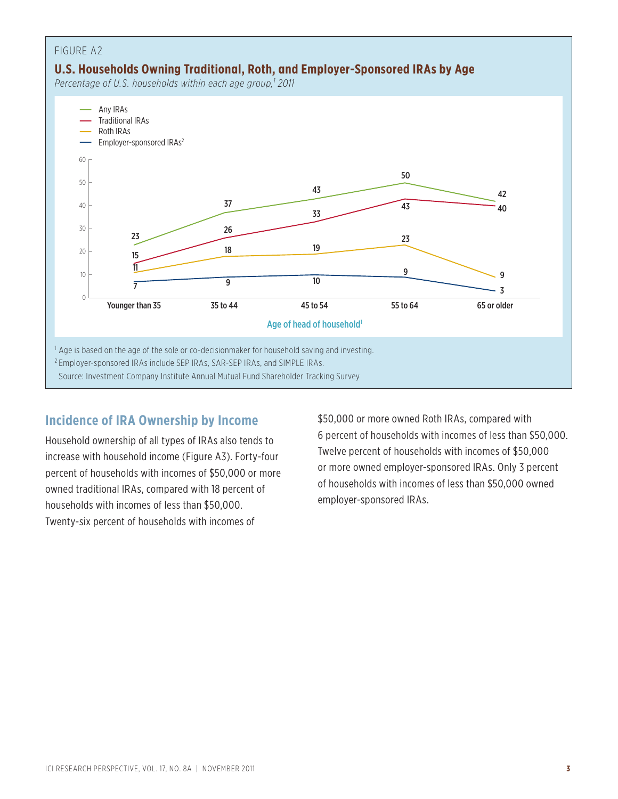

### **Incidence of IRA Ownership by Income**

Household ownership of all types of IRAs also tends to increase with household income (Figure A3). Forty-four percent of households with incomes of \$50,000 or more owned traditional IRAs, compared with 18 percent of households with incomes of less than \$50,000. Twenty-six percent of households with incomes of

\$50,000 or more owned Roth IRAs, compared with 6 percent of households with incomes of less than \$50,000. Twelve percent of households with incomes of \$50,000 or more owned employer-sponsored IRAs. Only 3 percent of households with incomes of less than \$50,000 owned employer-sponsored IRAs.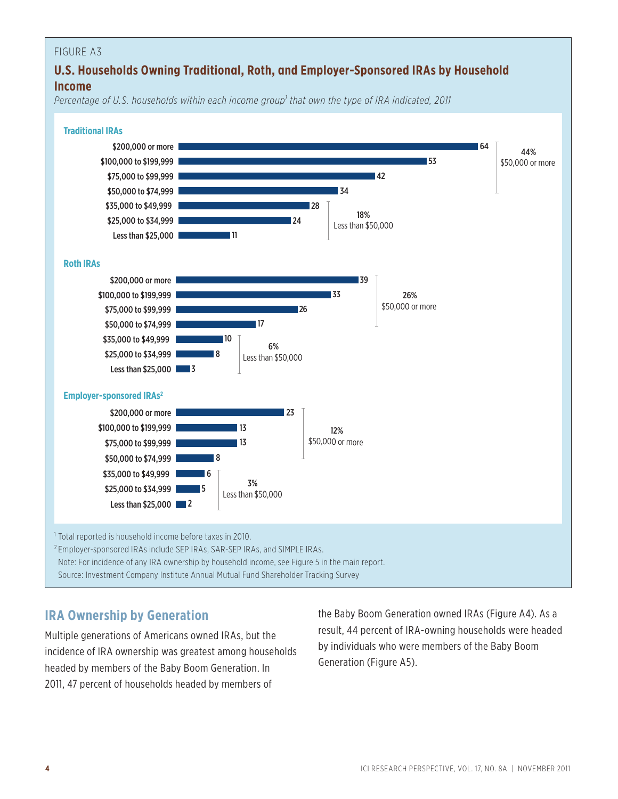### **U.S. Households Owning Traditional, Roth, and Employer-Sponsored IRAs by Household Income**

Percentage of U.S. households within each income group<sup>1</sup> that own the type of IRA indicated, 2011



### **IRA Ownership by Generation**

Multiple generations of Americans owned IRAs, but the incidence of IRA ownership was greatest among households headed by members of the Baby Boom Generation. In 2011, 47 percent of households headed by members of

the Baby Boom Generation owned IRAs (Figure A4). As a result, 44 percent of IRA-owning households were headed by individuals who were members of the Baby Boom Generation (Figure A5).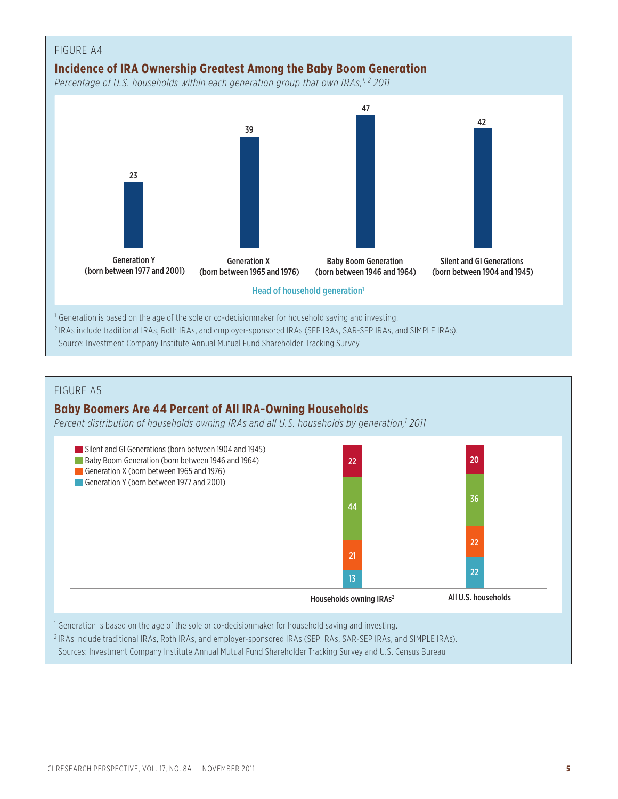

### **Baby Boomers Are 44 Percent of All IRA-Owning Households**

*Percent distribution of households owning IRAs and all U.S. households by generation,1 2011*

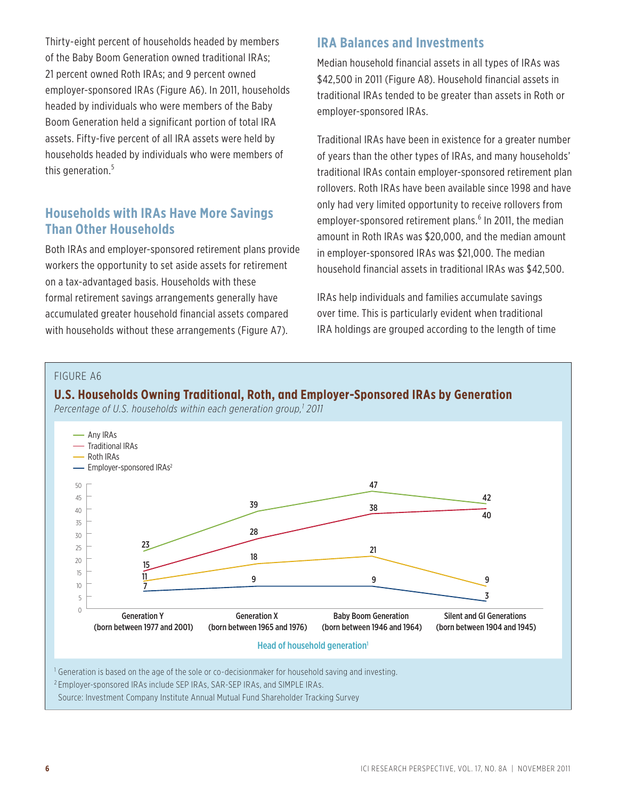Thirty-eight percent of households headed by members of the Baby Boom Generation owned traditional IRAs; 21 percent owned Roth IRAs; and 9 percent owned employer-sponsored IRAs (Figure A6). In 2011, households headed by individuals who were members of the Baby Boom Generation held a significant portion of total IRA assets. Fifty-five percent of all IRA assets were held by households headed by individuals who were members of this generation.<sup>5</sup>

### **Households with IRAs Have More Savings Than Other Households**

Both IRAs and employer-sponsored retirement plans provide workers the opportunity to set aside assets for retirement on a tax-advantaged basis. Households with these formal retirement savings arrangements generally have accumulated greater household financial assets compared with households without these arrangements (Figure A7).

### **IRA Balances and Investments**

Median household financial assets in all types of IRAs was \$42,500 in 2011 (Figure A8). Household financial assets in traditional IRAs tended to be greater than assets in Roth or employer-sponsored IRAs.

Traditional IRAs have been in existence for a greater number of years than the other types of IRAs, and many households' traditional IRAs contain employer-sponsored retirement plan rollovers. Roth IRAs have been available since 1998 and have only had very limited opportunity to receive rollovers from employer-sponsored retirement plans.<sup>6</sup> In 2011, the median amount in Roth IRAs was \$20,000, and the median amount in employer-sponsored IRAs was \$21,000. The median household financial assets in traditional IRAs was \$42,500.

IRAs help individuals and families accumulate savings over time. This is particularly evident when traditional IRA holdings are grouped according to the length of time

#### FIGURE A6



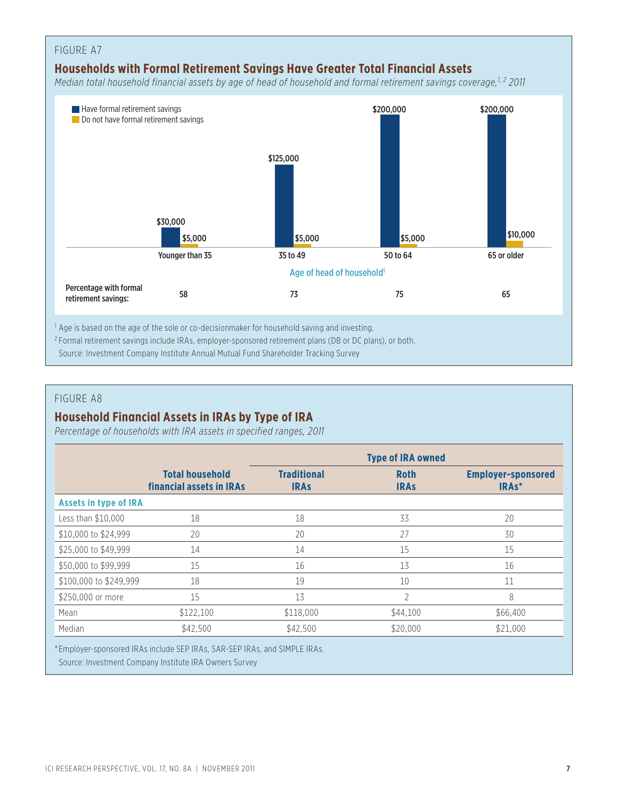### FIGURE A7 **Households with Formal Retirement Savings Have Greater Total Financial Assets** *Median total household financial assets by age of head of household and formal retirement savings coverage*,<sup>1,2</sup> 2011 **Have formal retirement savings** Do not have formal retirement savings Younger than 35 35 to 49 50 to 64 65 or older \$30,000 \$5,000 \$5,000 \$5,000 \$5,000 \$125,000 \$200,000 \$200,000 \$10,000 Percentage with formal retirement savings: <sup>58</sup> <sup>73</sup> <sup>75</sup> <sup>65</sup> Age of head of household<sup>1</sup> <sup>1</sup> Age is based on the age of the sole or co-decisionmaker for household saving and investing.

<sup>2</sup> Formal retirement savings include IRAs, employer-sponsored retirement plans (DB or DC plans), or both.

Source: Investment Company Institute Annual Mutual Fund Shareholder Tracking Survey

#### FIGURE A8

#### **Household Financial Assets in IRAs by Type of IRA**

*Percentage of households with IRA assets in specified ranges, 2011*

|                              |                                                    |                                   | <b>Type of IRA owned</b>   |                                                 |
|------------------------------|----------------------------------------------------|-----------------------------------|----------------------------|-------------------------------------------------|
|                              | <b>Total household</b><br>financial assets in IRAs | <b>Traditional</b><br><b>IRAS</b> | <b>Roth</b><br><b>IRAS</b> | <b>Employer-sponsored</b><br>IRA <sub>s</sub> * |
| <b>Assets in type of IRA</b> |                                                    |                                   |                            |                                                 |
| Less than \$10,000           | 18                                                 | 18                                | 33                         | 20                                              |
| \$10,000 to \$24,999         | 20                                                 | 20                                | 27                         | 30                                              |
| \$25,000 to \$49,999         | 14                                                 | 14                                | 15                         | 15                                              |
| \$50,000 to \$99,999         | 15                                                 | 16                                | 13                         | 16                                              |
| \$100,000 to \$249,999       | 18                                                 | 19                                | 10                         | 11                                              |
| \$250,000 or more            | 15                                                 | 13                                |                            | 8                                               |
| Mean                         | \$122,100                                          | \$118,000                         | \$44,100                   | \$66,400                                        |
| Median                       | \$42,500                                           | \$42,500                          | \$20,000                   | \$21,000                                        |

\* Employer-sponsored IRAs include SEP IRAs, SAR-SEP IRAs, and SIMPLE IRAs. Source: Investment Company Institute IRA Owners Survey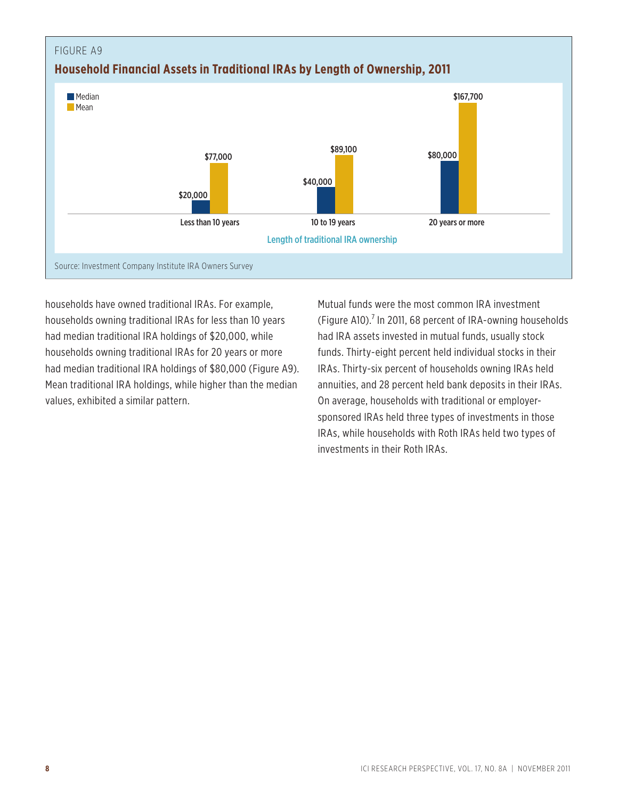

households have owned traditional IRAs. For example, households owning traditional IRAs for less than 10 years had median traditional IRA holdings of \$20,000, while households owning traditional IRAs for 20 years or more had median traditional IRA holdings of \$80,000 (Figure A9). Mean traditional IRA holdings, while higher than the median values, exhibited a similar pattern.

Mutual funds were the most common IRA investment (Figure A10).<sup>7</sup> In 2011, 68 percent of IRA-owning households had IRA assets invested in mutual funds, usually stock funds. Thirty-eight percent held individual stocks in their IRAs. Thirty-six percent of households owning IRAs held annuities, and 28 percent held bank deposits in their IRAs. On average, households with traditional or employersponsored IRAs held three types of investments in those IRAs, while households with Roth IRAs held two types of investments in their Roth IRAs.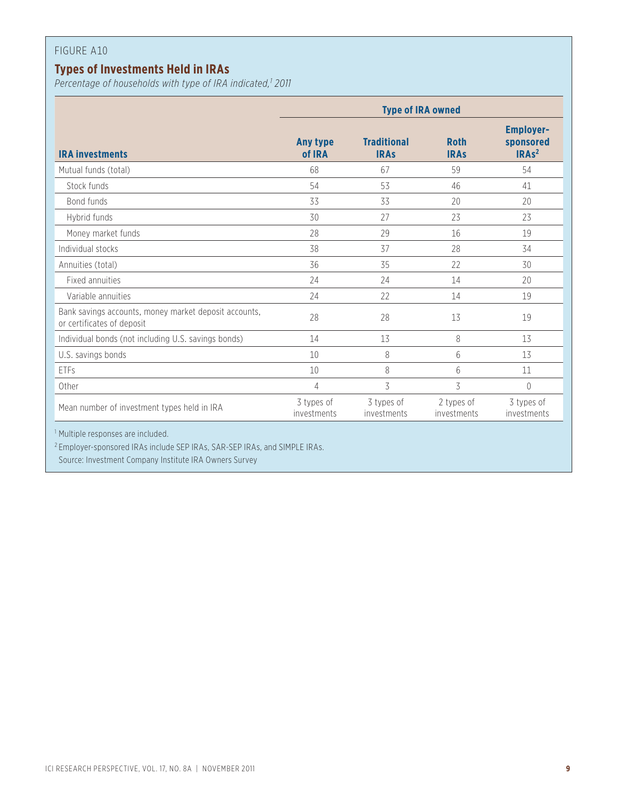### **Types of Investments Held in IRAs**

Percentage of households with type of IRA indicated,<sup>1</sup> 2011

|                                                                                     |                           | <b>Type of IRA owned</b>          |                            |                                                               |  |  |
|-------------------------------------------------------------------------------------|---------------------------|-----------------------------------|----------------------------|---------------------------------------------------------------|--|--|
| <b>IRA investments</b>                                                              | Any type<br>of IRA        | <b>Traditional</b><br><b>IRAs</b> | <b>Roth</b><br><b>IRAS</b> | <b>Employer-</b><br>sponsored<br>IRA <sub>s<sup>2</sup></sub> |  |  |
| Mutual funds (total)                                                                | 68                        | 67                                | 59                         | 54                                                            |  |  |
| Stock funds                                                                         | 54                        | 53                                | 46                         | 41                                                            |  |  |
| Bond funds                                                                          | 33                        | 33                                | 20                         | 20                                                            |  |  |
| Hybrid funds                                                                        | 30                        | 27                                | 23                         | 23                                                            |  |  |
| Money market funds                                                                  | 28                        | 29                                | 16                         | 19                                                            |  |  |
| Individual stocks                                                                   | 38                        | 37                                | 28                         | 34                                                            |  |  |
| Annuities (total)                                                                   | 36                        | 35                                | 22                         | 30                                                            |  |  |
| Fixed annuities                                                                     | 24                        | 24                                | 14                         | 20                                                            |  |  |
| Variable annuities                                                                  | 24                        | 22                                | 14                         | 19                                                            |  |  |
| Bank savings accounts, money market deposit accounts,<br>or certificates of deposit | 28                        | 28                                | 13                         | 19                                                            |  |  |
| Individual bonds (not including U.S. savings bonds)                                 | 14                        | 13                                | 8                          | 13                                                            |  |  |
| U.S. savings bonds                                                                  | 10                        | 8                                 | 6                          | 13                                                            |  |  |
| <b>ETFs</b>                                                                         | 10                        | 8                                 | 6                          | 11                                                            |  |  |
| Other                                                                               | 4                         | 3                                 | 3                          | $\theta$                                                      |  |  |
| Mean number of investment types held in IRA                                         | 3 types of<br>investments | 3 types of<br>investments         | 2 types of<br>investments  | 3 types of<br>investments                                     |  |  |

<sup>1</sup> Multiple responses are included.

<sup>2</sup> Employer-sponsored IRAs include SEP IRAs, SAR-SEP IRAs, and SIMPLE IRAs.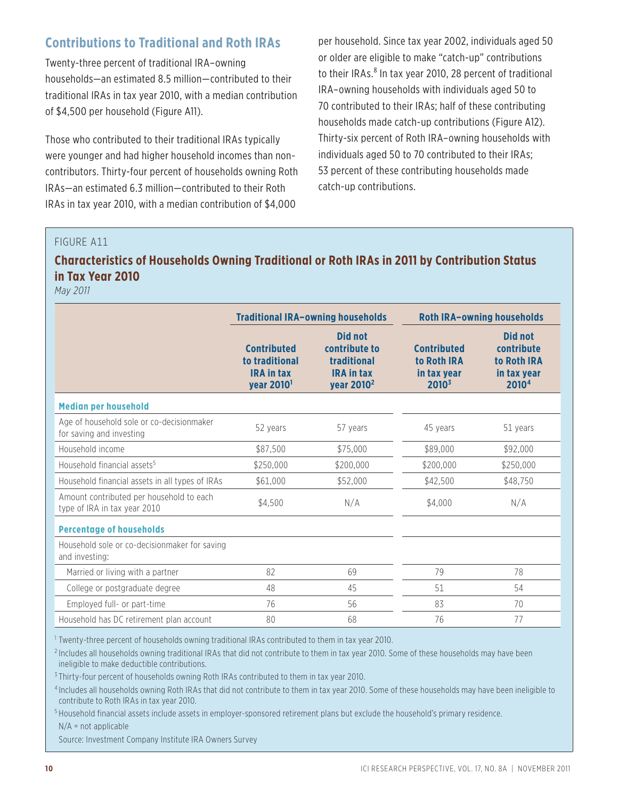### **Contributions to Traditional and Roth IRAs**

Twenty-three percent of traditional IRA–owning households—an estimated 8.5 million—contributed to their traditional IRAs in tax year 2010, with a median contribution of \$4,500 per household (Figure A11).

Those who contributed to their traditional IRAs typically were younger and had higher household incomes than noncontributors. Thirty-four percent of households owning Roth IRAs—an estimated 6.3 million—contributed to their Roth IRAs in tax year 2010, with a median contribution of \$4,000

per household. Since tax year 2002, individuals aged 50 or older are eligible to make "catch-up" contributions to their IRAs.<sup>8</sup> In tax year 2010, 28 percent of traditional IRA–owning households with individuals aged 50 to 70 contributed to their IRAs; half of these contributing households made catch-up contributions (Figure A12). Thirty-six percent of Roth IRA–owning households with individuals aged 50 to 70 contributed to their IRAs; 53 percent of these contributing households made catch-up contributions.

#### FIGURE A11

### **Characteristics of Households Owning Traditional or Roth IRAs in 2011 by Contribution Status in Tax Year 2010**

*May 2011*

|                                                                          |                                                                                     | <b>Traditional IRA-owning households</b>                                               | <b>Roth IRA-owning households</b>                                     |                                                                          |  |  |
|--------------------------------------------------------------------------|-------------------------------------------------------------------------------------|----------------------------------------------------------------------------------------|-----------------------------------------------------------------------|--------------------------------------------------------------------------|--|--|
|                                                                          | <b>Contributed</b><br>to traditional<br><b>IRA in tax</b><br>year 2010 <sup>1</sup> | Did not<br>contribute to<br>traditional<br><b>IRA in tax</b><br>year 2010 <sup>2</sup> | <b>Contributed</b><br>to Roth IRA<br>in tax vear<br>2010 <sup>3</sup> | Did not<br>contribute<br>to Roth IRA<br>in tax vear<br>2010 <sup>4</sup> |  |  |
| <b>Median per household</b>                                              |                                                                                     |                                                                                        |                                                                       |                                                                          |  |  |
| Age of household sole or co-decisionmaker<br>for saving and investing    | 52 years                                                                            | 57 years                                                                               | 45 years                                                              | 51 years                                                                 |  |  |
| Household income                                                         | \$87,500                                                                            | \$75,000                                                                               | \$89,000                                                              | \$92,000                                                                 |  |  |
| Household financial assets <sup>5</sup>                                  | \$250,000                                                                           | \$200,000                                                                              | \$200,000                                                             | \$250,000                                                                |  |  |
| Household financial assets in all types of IRAs                          | \$61,000                                                                            | \$52,000                                                                               | \$42,500                                                              | \$48,750                                                                 |  |  |
| Amount contributed per household to each<br>type of IRA in tax year 2010 | \$4.500                                                                             | N/A                                                                                    | \$4,000                                                               | N/A                                                                      |  |  |
| <b>Percentage of households</b>                                          |                                                                                     |                                                                                        |                                                                       |                                                                          |  |  |
| Household sole or co-decisionmaker for saving<br>and investing:          |                                                                                     |                                                                                        |                                                                       |                                                                          |  |  |
| Married or living with a partner                                         | 82                                                                                  | 69                                                                                     | 79                                                                    | 78                                                                       |  |  |
| College or postgraduate degree                                           | 48                                                                                  | 45                                                                                     | 51                                                                    | 54                                                                       |  |  |
| Employed full- or part-time                                              | 76                                                                                  | 56                                                                                     | 83                                                                    | 70                                                                       |  |  |
| Household has DC retirement plan account                                 | 80                                                                                  | 68                                                                                     | 76                                                                    | 77                                                                       |  |  |

<sup>1</sup> Twenty-three percent of households owning traditional IRAs contributed to them in tax year 2010.

<sup>2</sup> Includes all households owning traditional IRAs that did not contribute to them in tax year 2010. Some of these households may have been ineligible to make deductible contributions.

<sup>3</sup> Thirty-four percent of households owning Roth IRAs contributed to them in tax year 2010.

<sup>4</sup> Includes all households owning Roth IRAs that did not contribute to them in tax year 2010. Some of these households may have been ineligible to contribute to Roth IRAs in tax year 2010.

<sup>5</sup> Household financial assets include assets in employer-sponsored retirement plans but exclude the household's primary residence. N/A = not applicable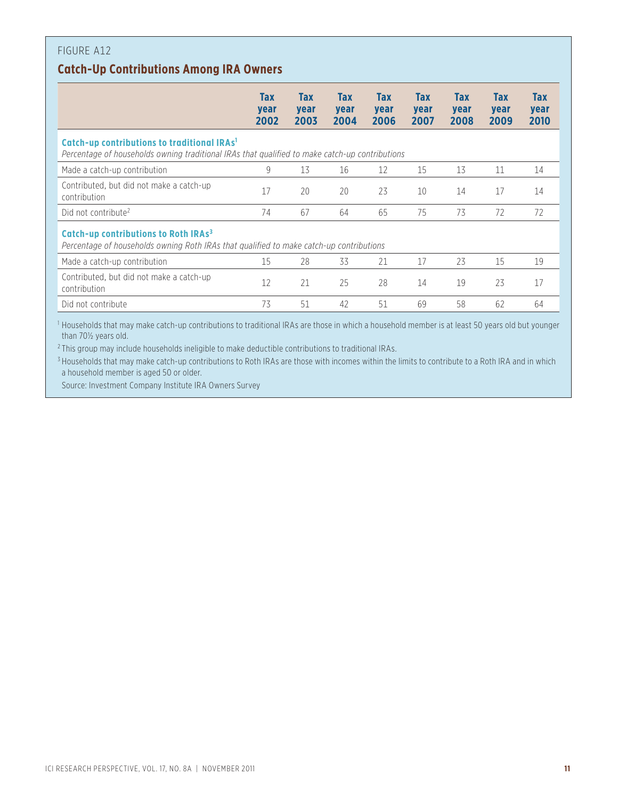### FIGURE A12 **Catch-Up Contributions Among IRA Owners**

|                                                                                                                                                                                                                                                                                                                                                         | <b>Tax</b><br>year<br>2002 | <b>Tax</b><br>year<br>2003 | <b>Tax</b><br>year<br>2004 | <b>Tax</b><br>year<br>2006 | <b>Tax</b><br>year<br>2007 | <b>Tax</b><br>year<br>2008 | Tax<br>year<br>2009 | Tax<br>year<br>2010 |
|---------------------------------------------------------------------------------------------------------------------------------------------------------------------------------------------------------------------------------------------------------------------------------------------------------------------------------------------------------|----------------------------|----------------------------|----------------------------|----------------------------|----------------------------|----------------------------|---------------------|---------------------|
| Catch-up contributions to traditional IRAs <sup>1</sup><br>Percentage of households owning traditional IRAs that qualified to make catch-up contributions                                                                                                                                                                                               |                            |                            |                            |                            |                            |                            |                     |                     |
| Made a catch-up contribution                                                                                                                                                                                                                                                                                                                            | 9                          | 13                         | 16                         | 12                         | 15                         | 13                         | 11                  | 14                  |
| Contributed, but did not make a catch-up<br>contribution                                                                                                                                                                                                                                                                                                | 17                         | 20                         | 20                         | 23                         | 10                         | 14                         | 17                  | 14                  |
| Did not contribute <sup>2</sup>                                                                                                                                                                                                                                                                                                                         | 74                         | 67                         | 64                         | 65                         | 75                         | 73                         | 72                  | 72                  |
| Catch-up contributions to Roth IRAs <sup>3</sup><br>Percentage of households owning Roth IRAs that qualified to make catch-up contributions                                                                                                                                                                                                             |                            |                            |                            |                            |                            |                            |                     |                     |
| Made a catch-up contribution                                                                                                                                                                                                                                                                                                                            | 15                         | 28                         | 33                         | 21                         | 17                         | 23                         | 15                  | 19                  |
| Contributed, but did not make a catch-up<br>contribution                                                                                                                                                                                                                                                                                                | 12                         | 21                         | 25                         | 28                         | 14                         | 19                         | 23                  | 17                  |
| Did not contribute                                                                                                                                                                                                                                                                                                                                      | 73                         | 51                         | 42                         | 51                         | 69                         | 58                         | 62                  | 64                  |
| The company of the company of the company of the company of the company of the company of the company of the company of the company of the company of the company of the company of the company of the company of the company<br>the contract of the contract of the contract of the contract of the contract of<br>the contract of the contract of the |                            | $\cdots$                   |                            |                            |                            |                            |                     |                     |

<sup>1</sup> Households that may make catch-up contributions to traditional IRAs are those in which a household member is at least 50 years old but younger than 70½ years old.

<sup>2</sup> This group may include households ineligible to make deductible contributions to traditional IRAs.

<sup>3</sup> Households that may make catch-up contributions to Roth IRAs are those with incomes within the limits to contribute to a Roth IRA and in which a household member is aged 50 or older.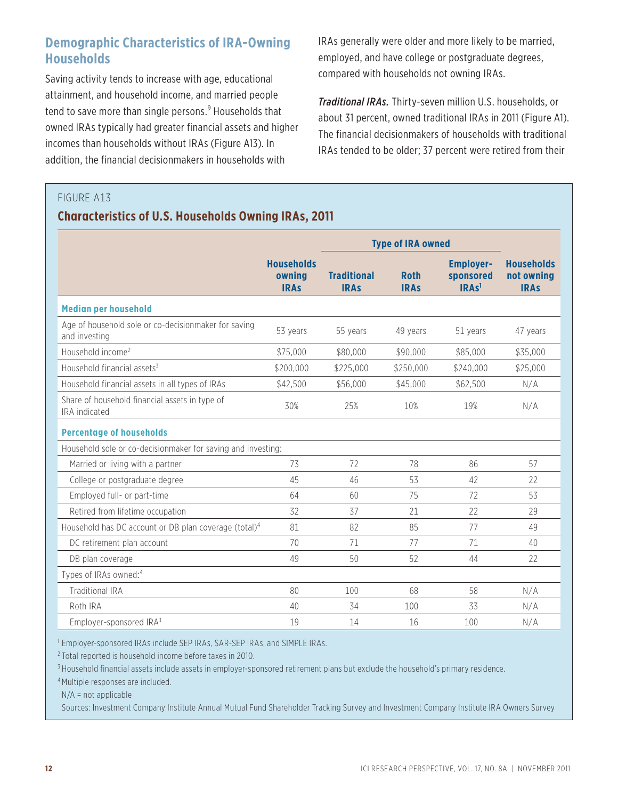### **Demographic Characteristics of IRA-Owning Households**

Saving activity tends to increase with age, educational attainment, and household income, and married people tend to save more than single persons.<sup>9</sup> Households that owned IRAs typically had greater financial assets and higher incomes than households without IRAs (Figure A13). In addition, the financial decisionmakers in households with

IRAs generally were older and more likely to be married, employed, and have college or postgraduate degrees, compared with households not owning IRAs.

*Traditional IRAs.* Thirty-seven million U.S. households, or about 31 percent, owned traditional IRAs in 2011 (Figure A1). The financial decisionmakers of households with traditional IRAs tended to be older; 37 percent were retired from their

#### FIGURE A13

#### **Characteristics of U.S. Households Owning IRAs, 2011**

|                                                                       |                                            | <b>Type of IRA owned</b>          |                            |                                                               |                                                |
|-----------------------------------------------------------------------|--------------------------------------------|-----------------------------------|----------------------------|---------------------------------------------------------------|------------------------------------------------|
|                                                                       | <b>Households</b><br>owning<br><b>IRAs</b> | <b>Traditional</b><br><b>IRAs</b> | <b>Roth</b><br><b>IRAs</b> | <b>Employer-</b><br>sponsored<br>IRA <sub>s<sup>1</sup></sub> | <b>Households</b><br>not owning<br><b>IRAs</b> |
| <b>Median per household</b>                                           |                                            |                                   |                            |                                                               |                                                |
| Age of household sole or co-decisionmaker for saving<br>and investing | 53 years                                   | 55 years                          | 49 years                   | 51 years                                                      | 47 years                                       |
| Household income <sup>2</sup>                                         | \$75,000                                   | \$80,000                          | \$90,000                   | \$85,000                                                      | \$35,000                                       |
| Household financial assets <sup>3</sup>                               | \$200,000                                  | \$225,000                         | \$250,000                  | \$240,000                                                     | \$25,000                                       |
| Household financial assets in all types of IRAs                       | \$42,500                                   | \$56,000                          | \$45,000                   | \$62,500                                                      | N/A                                            |
| Share of household financial assets in type of<br>IRA indicated       | 30%                                        | 25%                               | 10%                        | 19%                                                           | N/A                                            |
| <b>Percentage of households</b>                                       |                                            |                                   |                            |                                                               |                                                |
| Household sole or co-decisionmaker for saving and investing:          |                                            |                                   |                            |                                                               |                                                |
| Married or living with a partner                                      | 73                                         | 72                                | 78                         | 86                                                            | 57                                             |
| College or postgraduate degree                                        | 45                                         | 46                                | 53                         | 42                                                            | 22                                             |
| Employed full- or part-time                                           | 64                                         | 60                                | 75                         | 72                                                            | 53                                             |
| Retired from lifetime occupation                                      | 32                                         | 37                                | 21                         | 22                                                            | 29                                             |
| Household has DC account or DB plan coverage (total) <sup>4</sup>     | 81                                         | 82                                | 85                         | 77                                                            | 49                                             |
| DC retirement plan account                                            | 70                                         | 71                                | 77                         | 71                                                            | 40                                             |
| DB plan coverage                                                      | 49                                         | 50                                | 52                         | 44                                                            | 22                                             |
| Types of IRAs owned:4                                                 |                                            |                                   |                            |                                                               |                                                |
| <b>Traditional IRA</b>                                                | 80                                         | 100                               | 68                         | 58                                                            | N/A                                            |
| Roth IRA                                                              | 40                                         | 34                                | 100                        | 33                                                            | N/A                                            |
| Employer-sponsored IRA <sup>1</sup>                                   | 19                                         | 14                                | 16                         | 100                                                           | N/A                                            |

<sup>1</sup> Employer-sponsored IRAs include SEP IRAs, SAR-SEP IRAs, and SIMPLE IRAs.

<sup>2</sup> Total reported is household income before taxes in 2010.

<sup>3</sup> Household financial assets include assets in employer-sponsored retirement plans but exclude the household's primary residence.

<sup>4</sup> Multiple responses are included.

N/A = not applicable

Sources: Investment Company Institute Annual Mutual Fund Shareholder Tracking Survey and Investment Company Institute IRA Owners Survey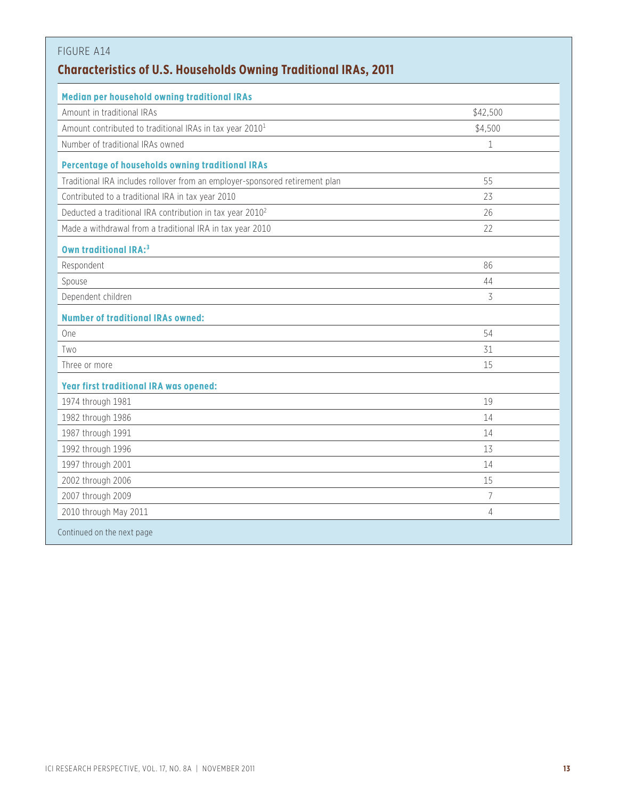| FIGURE A14<br><b>Characteristics of U.S. Households Owning Traditional IRAs, 2011</b> |                          |
|---------------------------------------------------------------------------------------|--------------------------|
| Median per household owning traditional IRAs                                          |                          |
| Amount in traditional IRAs                                                            | \$42,500                 |
| Amount contributed to traditional IRAs in tax year 2010 <sup>1</sup>                  | \$4,500                  |
| Number of traditional IRAs owned                                                      | 1                        |
| Percentage of households owning traditional IRAs                                      |                          |
| Traditional IRA includes rollover from an employer-sponsored retirement plan          | 55                       |
| Contributed to a traditional IRA in tax year 2010                                     | 23                       |
| Deducted a traditional IRA contribution in tax year 2010 <sup>2</sup>                 | 26                       |
| Made a withdrawal from a traditional IRA in tax year 2010                             | 22                       |
| Own traditional IRA: <sup>3</sup>                                                     |                          |
| Respondent                                                                            | 86                       |
| Spouse                                                                                | 44                       |
| Dependent children                                                                    | $\overline{\mathcal{S}}$ |
| <b>Number of traditional IRAs owned:</b>                                              |                          |
| One                                                                                   | 54                       |
| Two                                                                                   | 31                       |
| Three or more                                                                         | 15                       |
| <b>Year first traditional IRA was opened:</b>                                         |                          |
| 1974 through 1981                                                                     | 19                       |
| 1982 through 1986                                                                     | 14                       |
| 1987 through 1991                                                                     | 14                       |
| 1992 through 1996                                                                     | 13                       |
| 1997 through 2001                                                                     | 14                       |
| 2002 through 2006                                                                     | 15                       |
| 2007 through 2009                                                                     | 7                        |
| 2010 through May 2011                                                                 | 4                        |
| Continued on the next page                                                            |                          |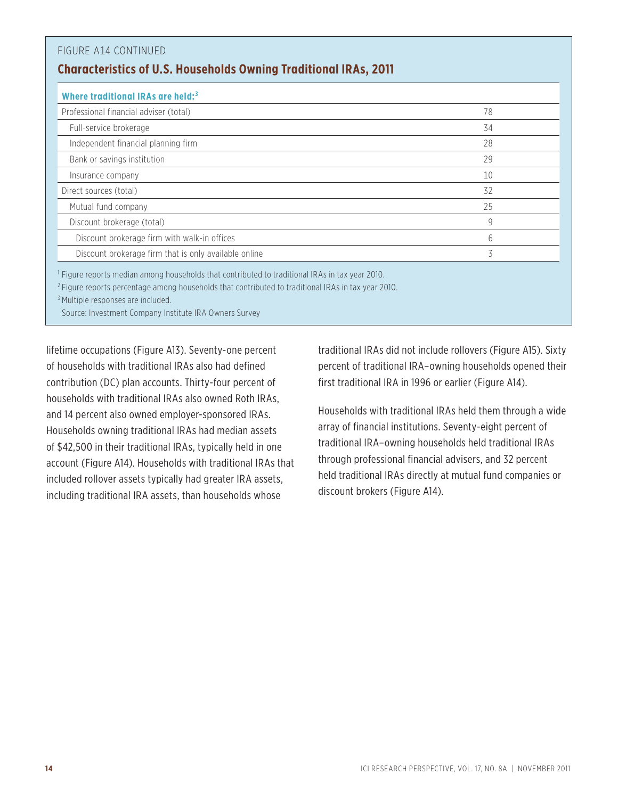| FIGURE A14 CONTINUED<br><b>Characteristics of U.S. Households Owning Traditional IRAs, 2011</b>                                                                                                                                                                       |    |
|-----------------------------------------------------------------------------------------------------------------------------------------------------------------------------------------------------------------------------------------------------------------------|----|
| Where traditional IRAs are held: <sup>3</sup>                                                                                                                                                                                                                         |    |
| Professional financial adviser (total)                                                                                                                                                                                                                                | 78 |
| Full-service brokerage                                                                                                                                                                                                                                                | 34 |
| Independent financial planning firm                                                                                                                                                                                                                                   | 28 |
| Bank or savings institution                                                                                                                                                                                                                                           | 29 |
| Insurance company                                                                                                                                                                                                                                                     | 10 |
| Direct sources (total)                                                                                                                                                                                                                                                | 32 |
| Mutual fund company                                                                                                                                                                                                                                                   | 25 |
| Discount brokerage (total)                                                                                                                                                                                                                                            | 9  |
| Discount brokerage firm with walk-in offices                                                                                                                                                                                                                          | 6  |
| Discount brokerage firm that is only available online                                                                                                                                                                                                                 | 3  |
| $^1$ Figure reports median among households that contributed to traditional IRAs in tax year 2010.<br><sup>2</sup> Figure reports percentage among households that contributed to traditional IRAs in tax year 2010.<br><sup>3</sup> Multiple responses are included. |    |

Source: Investment Company Institute IRA Owners Survey

lifetime occupations (Figure A13). Seventy-one percent of households with traditional IRAs also had defined contribution (DC) plan accounts. Thirty-four percent of households with traditional IRAs also owned Roth IRAs, and 14 percent also owned employer-sponsored IRAs. Households owning traditional IRAs had median assets of \$42,500 in their traditional IRAs, typically held in one account (Figure A14). Households with traditional IRAs that included rollover assets typically had greater IRA assets, including traditional IRA assets, than households whose

traditional IRAs did not include rollovers (Figure A15). Sixty percent of traditional IRA–owning households opened their first traditional IRA in 1996 or earlier (Figure A14).

Households with traditional IRAs held them through a wide array of financial institutions. Seventy-eight percent of traditional IRA–owning households held traditional IRAs through professional financial advisers, and 32 percent held traditional IRAs directly at mutual fund companies or discount brokers (Figure A14).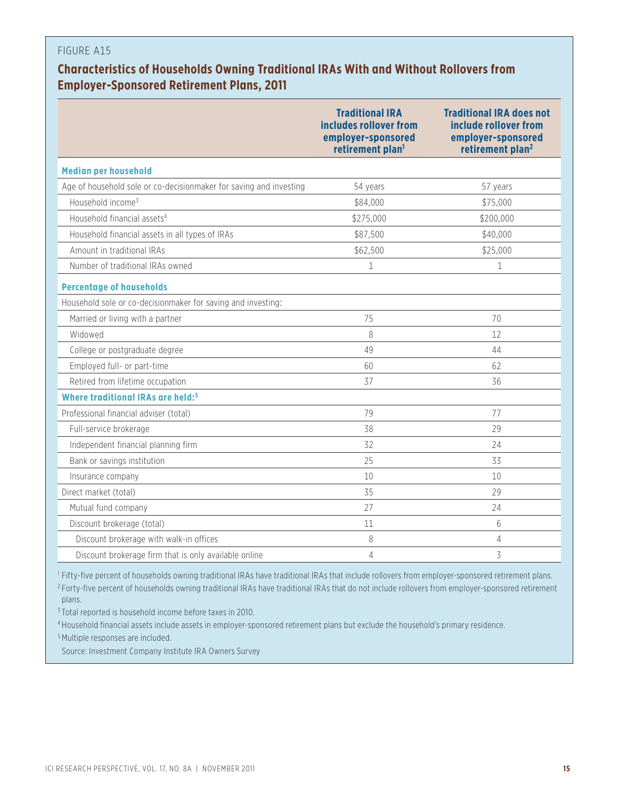### **Characteristics of Households Owning Traditional IRAs With and Without Rollovers from Employer-Sponsored Retirement Plans, 2011**

|                                                                    | <b>Traditional IRA</b><br>includes rollover from<br>employer-sponsored<br>retirement plan <sup>1</sup> | <b>Traditional IRA does not</b><br>include rollover from<br>employer-sponsored<br>retirement plan <sup>2</sup> |
|--------------------------------------------------------------------|--------------------------------------------------------------------------------------------------------|----------------------------------------------------------------------------------------------------------------|
| <b>Median per household</b>                                        |                                                                                                        |                                                                                                                |
| Age of household sole or co-decisionmaker for saving and investing | 54 years                                                                                               | 57 years                                                                                                       |
| Household income <sup>3</sup>                                      | \$84,000                                                                                               | \$75,000                                                                                                       |
| Household financial assets <sup>4</sup>                            | \$275,000                                                                                              | \$200,000                                                                                                      |
| Household financial assets in all types of IRAs                    | \$87,500                                                                                               | \$40,000                                                                                                       |
| Amount in traditional IRAs                                         | \$62,500                                                                                               | \$25,000                                                                                                       |
| Number of traditional IRAs owned                                   | $\mathbf{1}$                                                                                           | $\mathbf 1$                                                                                                    |
| <b>Percentage of households</b>                                    |                                                                                                        |                                                                                                                |
| Household sole or co-decisionmaker for saving and investing:       |                                                                                                        |                                                                                                                |
| Married or living with a partner                                   | 75                                                                                                     | 70                                                                                                             |
| Widowed                                                            | 8                                                                                                      | 12                                                                                                             |
| College or postgraduate degree                                     | 49                                                                                                     | 44                                                                                                             |
| Employed full- or part-time                                        | 60                                                                                                     | 62                                                                                                             |
| Retired from lifetime occupation                                   | 37                                                                                                     | 36                                                                                                             |
| Where traditional IRAs are held: <sup>5</sup>                      |                                                                                                        |                                                                                                                |
| Professional financial adviser (total)                             | 79                                                                                                     | 77                                                                                                             |
| Full-service brokerage                                             | 38                                                                                                     | 29                                                                                                             |
| Independent financial planning firm                                | 32                                                                                                     | 24                                                                                                             |
| Bank or savings institution                                        | 25                                                                                                     | 33                                                                                                             |
| Insurance company                                                  | 10                                                                                                     | 10                                                                                                             |
| Direct market (total)                                              | 35                                                                                                     | 29                                                                                                             |
| Mutual fund company                                                | 27                                                                                                     | 24                                                                                                             |
| Discount brokerage (total)                                         | 11                                                                                                     | 6                                                                                                              |
| Discount brokerage with walk-in offices                            | 8                                                                                                      | $\overline{4}$                                                                                                 |
| Discount brokerage firm that is only available online              | $\sqrt{4}$                                                                                             | 3                                                                                                              |

<sup>1</sup> Fifty-five percent of households owning traditional IRAs have traditional IRAs that include rollovers from employer-sponsored retirement plans. <sup>2</sup> Forty-five percent of households owning traditional IRAs have traditional IRAs that do not include rollovers from employer-sponsored retirement plans.

<sup>3</sup> Total reported is household income before taxes in 2010.

<sup>4</sup> Household financial assets include assets in employer-sponsored retirement plans but exclude the household's primary residence.

<sup>5</sup> Multiple responses are included.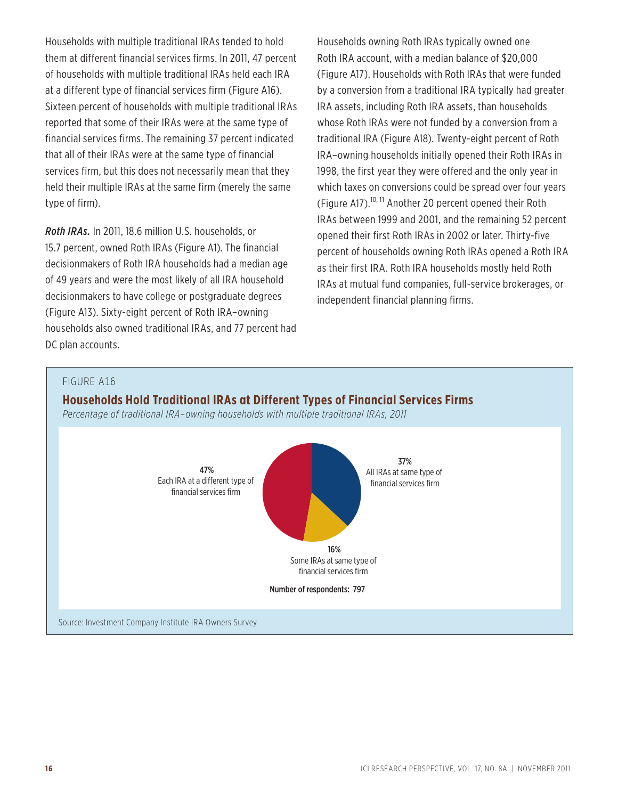Households with multiple traditional IRAs tended to hold them at different financial services firms. In 2011, 47 percent of households with multiple traditional IRAs held each IRA at a different type of financial services firm (Figure A16). Sixteen percent of households with multiple traditional IRAs reported that some of their IRAs were at the same type of financial services firms. The remaining 37 percent indicated that all of their IRAs were at the same type of financial services firm, but this does not necessarily mean that they held their multiple IRAs at the same firm (merely the same type of firm).

*Roth IRAs.* In 2011, 18.6 million U.S. households, or 15.7 percent, owned Roth IRAs (Figure A1). The financial decisionmakers of Roth IRA households had a median age of 49 years and were the most likely of all IRA household decisionmakers to have college or postgraduate degrees (Figure A13). Sixty-eight percent of Roth IRA–owning households also owned traditional IRAs, and 77 percent had DC plan accounts.

Households owning Roth IRAs typically owned one Roth IRA account, with a median balance of \$20,000 (Figure A17). Households with Roth IRAs that were funded by a conversion from a traditional IRA typically had greater IRA assets, including Roth IRA assets, than households whose Roth IRAs were not funded by a conversion from a traditional IRA (Figure A18). Twenty-eight percent of Roth IRA–owning households initially opened their Roth IRAs in 1998, the first year they were offered and the only year in which taxes on conversions could be spread over four years (Figure A17).10, 11 Another 20 percent opened their Roth IRAs between 1999 and 2001, and the remaining 52 percent opened their first Roth IRAs in 2002 or later. Thirty-five percent of households owning Roth IRAs opened a Roth IRA as their first IRA. Roth IRA households mostly held Roth IRAs at mutual fund companies, full-service brokerages, or independent financial planning firms.

#### FIGURE A16

### **Households Hold Traditional IRAs at Different Types of Financial Services Firms**

*Percentage of traditional IRA–owning households with multiple traditional IRAs, 2011*

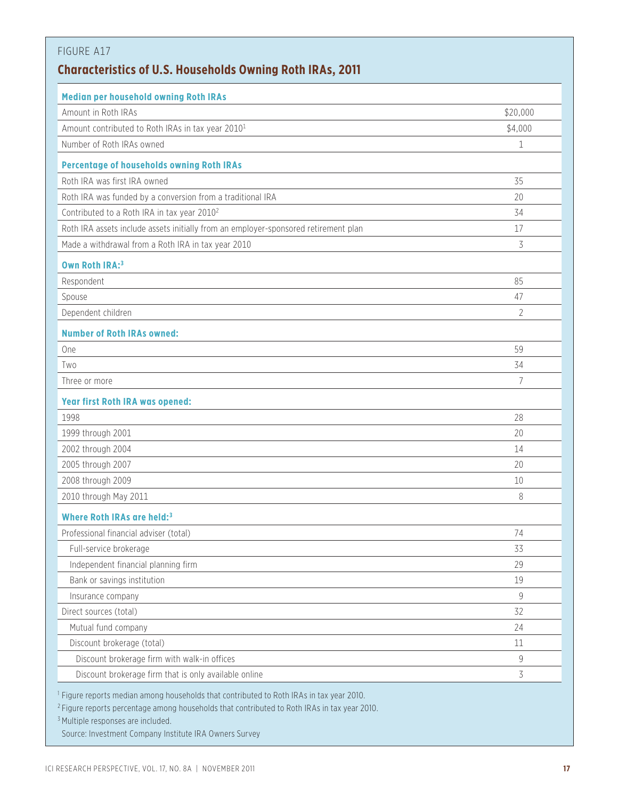| <b>Characteristics of U.S. Households Owning Roth IRAs, 2011</b>                    |                |
|-------------------------------------------------------------------------------------|----------------|
| <b>Median per household owning Roth IRAs</b>                                        |                |
| Amount in Roth IRAs                                                                 | \$20,000       |
| Amount contributed to Roth IRAs in tax year 2010 <sup>1</sup>                       | \$4,000        |
| Number of Roth IRAs owned                                                           | 1              |
|                                                                                     |                |
| <b>Percentage of households owning Roth IRAs</b>                                    |                |
| Roth IRA was first IRA owned                                                        | 35             |
| Roth IRA was funded by a conversion from a traditional IRA                          | 20             |
| Contributed to a Roth IRA in tax year 2010 <sup>2</sup>                             | 34             |
| Roth IRA assets include assets initially from an employer-sponsored retirement plan | 17             |
| Made a withdrawal from a Roth IRA in tax year 2010                                  | 3              |
| Own Roth IRA:3                                                                      |                |
| Respondent                                                                          | 85             |
| Spouse                                                                              | 47             |
| Dependent children                                                                  | 2              |
| <b>Number of Roth IRAs owned:</b>                                                   |                |
| One                                                                                 | 59             |
| Two                                                                                 | 34             |
| Three or more                                                                       | 7              |
| <b>Year first Roth IRA was opened:</b>                                              |                |
| 1998                                                                                | 28             |
| 1999 through 2001                                                                   | 20             |
| 2002 through 2004                                                                   | 14             |
| 2005 through 2007                                                                   | 20             |
| 2008 through 2009                                                                   | 10             |
| 2010 through May 2011                                                               | 8              |
| Where Roth IRAs are held: <sup>3</sup>                                              |                |
| Professional financial adviser (total)                                              | 74             |
| Full-service brokerage                                                              | 33             |
| Independent financial planning firm                                                 | 29             |
| Bank or savings institution                                                         | 19             |
| Insurance company                                                                   | $\overline{9}$ |
| Direct sources (total)                                                              | 32             |
| Mutual fund company                                                                 | 24             |
| Discount brokerage (total)                                                          | 11             |
| Discount brokerage firm with walk-in offices                                        | $\,9$          |
| Discount brokerage firm that is only available online                               | 3              |

<sup>3</sup> Multiple responses are included.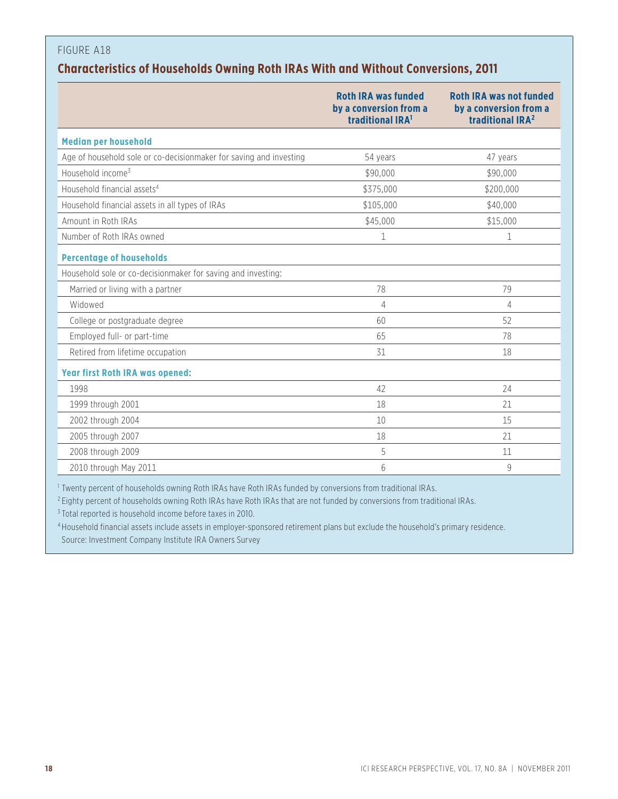### **Characteristics of Households Owning Roth IRAs With and Without Conversions, 2011**

|                                                                    | <b>Roth IRA was funded</b><br>by a conversion from a<br>traditional IRA <sup>1</sup> | <b>Roth IRA was not funded</b><br>by a conversion from a<br>traditional IRA <sup>2</sup> |
|--------------------------------------------------------------------|--------------------------------------------------------------------------------------|------------------------------------------------------------------------------------------|
| <b>Median per household</b>                                        |                                                                                      |                                                                                          |
| Age of household sole or co-decisionmaker for saving and investing | 54 years                                                                             | 47 years                                                                                 |
| Household income <sup>3</sup>                                      | \$90,000                                                                             | \$90,000                                                                                 |
| Household financial assets <sup>4</sup>                            | \$375,000                                                                            | \$200,000                                                                                |
| Household financial assets in all types of IRAs                    | \$105,000                                                                            | \$40,000                                                                                 |
| Amount in Roth IRAs                                                | \$45,000                                                                             | \$15,000                                                                                 |
| Number of Roth IRAs owned                                          | $\mathbf 1$                                                                          | 1                                                                                        |
| <b>Percentage of households</b>                                    |                                                                                      |                                                                                          |
| Household sole or co-decisionmaker for saving and investing:       |                                                                                      |                                                                                          |
| Married or living with a partner                                   | 78                                                                                   | 79                                                                                       |
| Widowed                                                            | $\overline{A}$                                                                       | $\overline{4}$                                                                           |
| College or postgraduate degree                                     | 60                                                                                   | 52                                                                                       |
| Employed full- or part-time                                        | 65                                                                                   | 78                                                                                       |
| Retired from lifetime occupation                                   | 31                                                                                   | 18                                                                                       |
| <b>Year first Roth IRA was opened:</b>                             |                                                                                      |                                                                                          |
| 1998                                                               | 42                                                                                   | 24                                                                                       |
| 1999 through 2001                                                  | 18                                                                                   | 21                                                                                       |
| 2002 through 2004                                                  | 10                                                                                   | 15                                                                                       |
| 2005 through 2007                                                  | 18                                                                                   | 21                                                                                       |
| 2008 through 2009                                                  | 5                                                                                    | 11                                                                                       |
| 2010 through May 2011                                              | 6                                                                                    | 9                                                                                        |

<sup>1</sup> Twenty percent of households owning Roth IRAs have Roth IRAs funded by conversions from traditional IRAs.

<sup>2</sup> Eighty percent of households owning Roth IRAs have Roth IRAs that are not funded by conversions from traditional IRAs.

<sup>3</sup> Total reported is household income before taxes in 2010.

<sup>4</sup> Household financial assets include assets in employer-sponsored retirement plans but exclude the household's primary residence.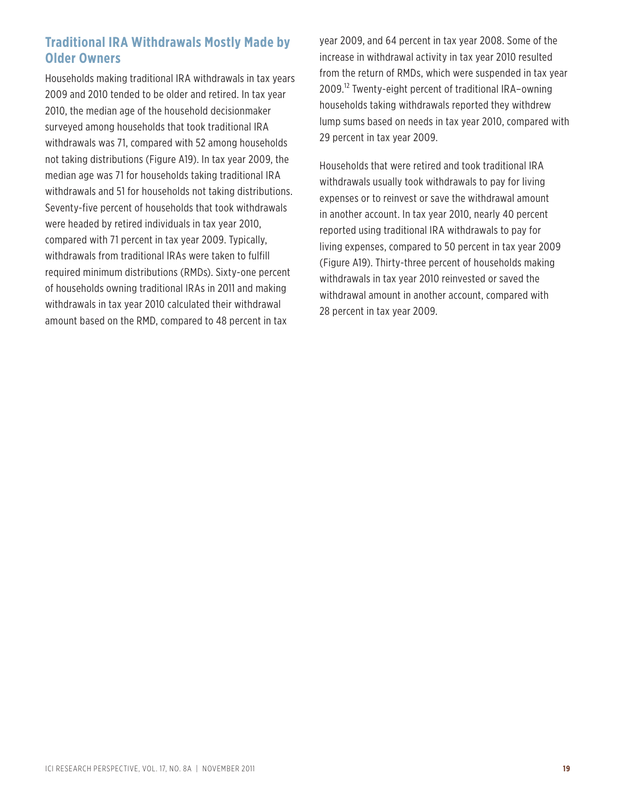### **Traditional IRA Withdrawals Mostly Made by Older Owners**

Households making traditional IRA withdrawals in tax years 2009 and 2010 tended to be older and retired. In tax year 2010, the median age of the household decisionmaker surveyed among households that took traditional IRA withdrawals was 71, compared with 52 among households not taking distributions (Figure A19). In tax year 2009, the median age was 71 for households taking traditional IRA withdrawals and 51 for households not taking distributions. Seventy-five percent of households that took withdrawals were headed by retired individuals in tax year 2010, compared with 71 percent in tax year 2009. Typically, withdrawals from traditional IRAs were taken to fulfill required minimum distributions (RMDs). Sixty-one percent of households owning traditional IRAs in 2011 and making withdrawals in tax year 2010 calculated their withdrawal amount based on the RMD, compared to 48 percent in tax

year 2009, and 64 percent in tax year 2008. Some of the increase in withdrawal activity in tax year 2010 resulted from the return of RMDs, which were suspended in tax year 2009.<sup>12</sup> Twenty-eight percent of traditional IRA–owning households taking withdrawals reported they withdrew lump sums based on needs in tax year 2010, compared with 29 percent in tax year 2009.

Households that were retired and took traditional IRA withdrawals usually took withdrawals to pay for living expenses or to reinvest or save the withdrawal amount in another account. In tax year 2010, nearly 40 percent reported using traditional IRA withdrawals to pay for living expenses, compared to 50 percent in tax year 2009 (Figure A19). Thirty-three percent of households making withdrawals in tax year 2010 reinvested or saved the withdrawal amount in another account, compared with 28 percent in tax year 2009.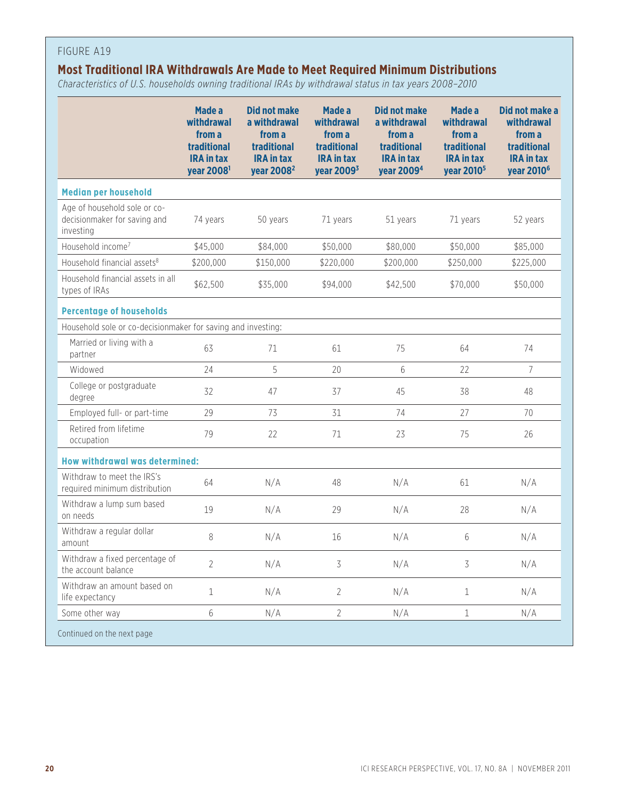### **Most Traditional IRA Withdrawals Are Made to Meet Required Minimum Distributions**

*Characteristics of U.S. households owning traditional IRAs by withdrawal status in tax years 2008–2010*

|                                                                           | Made a<br>withdrawal<br>from a<br>traditional<br><b>IRA</b> in tax<br>year 2008 <sup>1</sup> | <b>Did not make</b><br>a withdrawal<br>from a<br>traditional<br><b>IRA</b> in tax<br>year 2008 <sup>2</sup> | Made a<br>withdrawal<br>from a<br>traditional<br><b>IRA in tax</b><br>year 2009 <sup>3</sup> | <b>Did not make</b><br>a withdrawal<br>from a<br>traditional<br><b>IRA</b> in tax<br>year 2009 <sup>4</sup> | Made a<br>withdrawal<br>from a<br>traditional<br><b>IRA</b> in tax<br>year 2010 <sup>5</sup> | Did not make a<br>withdrawal<br>from a<br>traditional<br><b>IRA</b> in tax<br>year 2010 <sup>6</sup> |
|---------------------------------------------------------------------------|----------------------------------------------------------------------------------------------|-------------------------------------------------------------------------------------------------------------|----------------------------------------------------------------------------------------------|-------------------------------------------------------------------------------------------------------------|----------------------------------------------------------------------------------------------|------------------------------------------------------------------------------------------------------|
| <b>Median per household</b>                                               |                                                                                              |                                                                                                             |                                                                                              |                                                                                                             |                                                                                              |                                                                                                      |
| Age of household sole or co-<br>decisionmaker for saving and<br>investing | 74 years                                                                                     | 50 years                                                                                                    | 71 years                                                                                     | 51 years                                                                                                    | 71 years                                                                                     | 52 years                                                                                             |
| Household income <sup>7</sup>                                             | \$45,000                                                                                     | \$84,000                                                                                                    | \$50,000                                                                                     | \$80,000                                                                                                    | \$50,000                                                                                     | \$85,000                                                                                             |
| Household financial assets <sup>8</sup>                                   | \$200,000                                                                                    | \$150,000                                                                                                   | \$220,000                                                                                    | \$200,000                                                                                                   | \$250,000                                                                                    | \$225,000                                                                                            |
| Household financial assets in all<br>types of IRAs                        | \$62,500                                                                                     | \$35,000                                                                                                    | \$94,000                                                                                     | \$42,500                                                                                                    | \$70,000                                                                                     | \$50,000                                                                                             |
| <b>Percentage of households</b>                                           |                                                                                              |                                                                                                             |                                                                                              |                                                                                                             |                                                                                              |                                                                                                      |
| Household sole or co-decisionmaker for saving and investing:              |                                                                                              |                                                                                                             |                                                                                              |                                                                                                             |                                                                                              |                                                                                                      |
| Married or living with a<br>partner                                       | 63                                                                                           | 71                                                                                                          | 61                                                                                           | 75                                                                                                          | 64                                                                                           | 74                                                                                                   |
| Widowed                                                                   | 24                                                                                           | 5                                                                                                           | 20                                                                                           | 6                                                                                                           | 22                                                                                           | $7\overline{ }$                                                                                      |
| College or postgraduate<br>degree                                         | 32                                                                                           | 47                                                                                                          | 37                                                                                           | 45                                                                                                          | 38                                                                                           | 48                                                                                                   |
| Employed full- or part-time                                               | 29                                                                                           | 73                                                                                                          | 31                                                                                           | 74                                                                                                          | 27                                                                                           | 70                                                                                                   |
| Retired from lifetime<br>occupation                                       | 79                                                                                           | 22                                                                                                          | 71                                                                                           | 23                                                                                                          | 75                                                                                           | 26                                                                                                   |
| How withdrawal was determined:                                            |                                                                                              |                                                                                                             |                                                                                              |                                                                                                             |                                                                                              |                                                                                                      |
| Withdraw to meet the IRS's<br>required minimum distribution               | 64                                                                                           | N/A                                                                                                         | 48                                                                                           | N/A                                                                                                         | 61                                                                                           | N/A                                                                                                  |
| Withdraw a lump sum based<br>on needs                                     | 19                                                                                           | N/A                                                                                                         | 29                                                                                           | N/A                                                                                                         | 28                                                                                           | N/A                                                                                                  |
| Withdraw a regular dollar<br>amount                                       | 8                                                                                            | N/A                                                                                                         | 16                                                                                           | N/A                                                                                                         | 6                                                                                            | N/A                                                                                                  |
| Withdraw a fixed percentage of<br>the account balance                     | $\overline{2}$                                                                               | N/A                                                                                                         | 3                                                                                            | N/A                                                                                                         | 3                                                                                            | N/A                                                                                                  |
| Withdraw an amount based on<br>life expectancy                            | $\mathbf 1$                                                                                  | N/A                                                                                                         | $\overline{2}$                                                                               | N/A                                                                                                         | $1\,$                                                                                        | N/A                                                                                                  |
| Some other way                                                            | $6\,$                                                                                        | N/A                                                                                                         | $\overline{2}$                                                                               | N/A                                                                                                         | $1\,$                                                                                        | N/A                                                                                                  |
| Continued on the next page                                                |                                                                                              |                                                                                                             |                                                                                              |                                                                                                             |                                                                                              |                                                                                                      |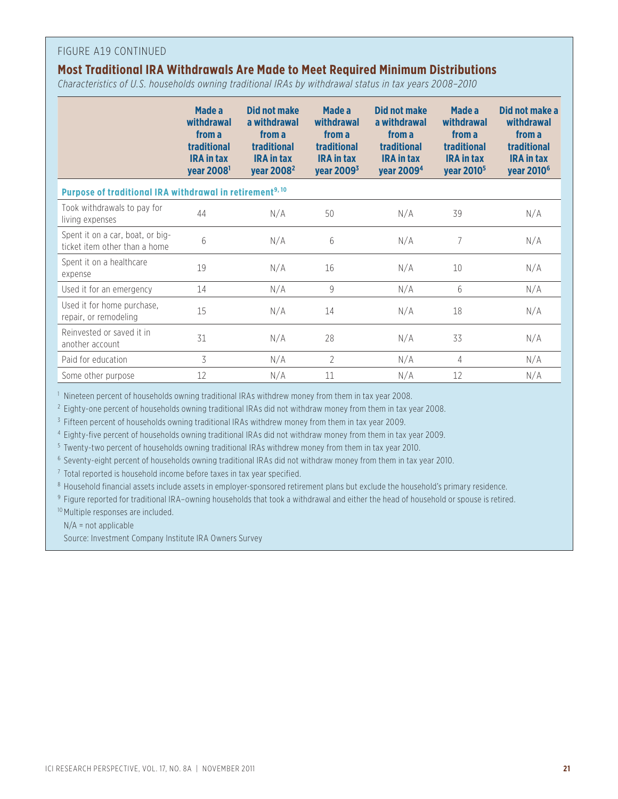#### FIGURE A19 CONTINUED

#### **Most Traditional IRA Withdrawals Are Made to Meet Required Minimum Distributions**

*Characteristics of U.S. households owning traditional IRAs by withdrawal status in tax years 2008–2010*

|                                                                      | Made a<br>withdrawal<br>from a<br>traditional<br><b>IRA</b> in tax<br>year 2008 <sup>1</sup> | Did not make<br>a withdrawal<br>from a<br>traditional<br><b>IRA</b> in tax<br>year 2008 <sup>2</sup> | Made a<br>withdrawal<br>from a<br>traditional<br><b>IRA</b> in tax<br>year 2009 <sup>3</sup> | Did not make<br>a withdrawal<br>from a<br>traditional<br><b>IRA in tax</b><br>year 2009 <sup>4</sup> | Made a<br>withdrawal<br>from a<br>traditional<br><b>IRA in tax</b><br>year 2010 <sup>5</sup> | Did not make a<br>withdrawal<br>from a<br>traditional<br><b>IRA in tax</b><br>year 2010 <sup>6</sup> |
|----------------------------------------------------------------------|----------------------------------------------------------------------------------------------|------------------------------------------------------------------------------------------------------|----------------------------------------------------------------------------------------------|------------------------------------------------------------------------------------------------------|----------------------------------------------------------------------------------------------|------------------------------------------------------------------------------------------------------|
| Purpose of traditional IRA withdrawal in retirement <sup>9, 10</sup> |                                                                                              |                                                                                                      |                                                                                              |                                                                                                      |                                                                                              |                                                                                                      |
| Took withdrawals to pay for<br>living expenses                       | 44                                                                                           | N/A                                                                                                  | 50                                                                                           | N/A                                                                                                  | 39                                                                                           | N/A                                                                                                  |
| Spent it on a car, boat, or big-<br>ticket item other than a home    | 6                                                                                            | N/A                                                                                                  | 6                                                                                            | N/A                                                                                                  | 7                                                                                            | N/A                                                                                                  |
| Spent it on a healthcare<br>expense                                  | 19                                                                                           | N/A                                                                                                  | 16                                                                                           | N/A                                                                                                  | 10                                                                                           | N/A                                                                                                  |
| Used it for an emergency                                             | 14                                                                                           | N/A                                                                                                  | 9                                                                                            | N/A                                                                                                  | 6                                                                                            | N/A                                                                                                  |
| Used it for home purchase,<br>repair, or remodeling                  | 15                                                                                           | N/A                                                                                                  | 14                                                                                           | N/A                                                                                                  | 18                                                                                           | N/A                                                                                                  |
| Reinvested or saved it in<br>another account                         | 31                                                                                           | N/A                                                                                                  | 28                                                                                           | N/A                                                                                                  | 33                                                                                           | N/A                                                                                                  |
| Paid for education                                                   | 3                                                                                            | N/A                                                                                                  | $\overline{2}$                                                                               | N/A                                                                                                  | 4                                                                                            | N/A                                                                                                  |
| Some other purpose                                                   | 12                                                                                           | N/A                                                                                                  | 11                                                                                           | N/A                                                                                                  | 12                                                                                           | N/A                                                                                                  |

<sup>1</sup> Nineteen percent of households owning traditional IRAs withdrew money from them in tax year 2008.

<sup>2</sup> Eighty-one percent of households owning traditional IRAs did not withdraw money from them in tax year 2008.

<sup>3</sup> Fifteen percent of households owning traditional IRAs withdrew money from them in tax year 2009.

<sup>4</sup> Eighty-five percent of households owning traditional IRAs did not withdraw money from them in tax year 2009.

<sup>5</sup> Twenty-two percent of households owning traditional IRAs withdrew money from them in tax year 2010.

<sup>6</sup> Seventy-eight percent of households owning traditional IRAs did not withdraw money from them in tax year 2010.

 $7$  Total reported is household income before taxes in tax year specified.

8 Household financial assets include assets in employer-sponsored retirement plans but exclude the household's primary residence.

9 Figure reported for traditional IRA-owning households that took a withdrawal and either the head of household or spouse is retired.

<sup>10</sup> Multiple responses are included.

N/A = not applicable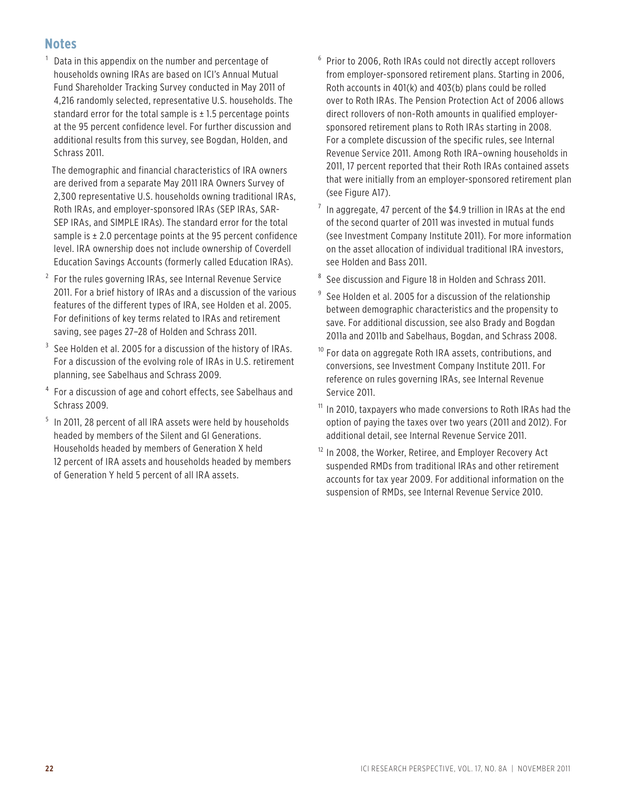### **Notes**

 $1$  Data in this appendix on the number and percentage of households owning IRAs are based on ICI's Annual Mutual Fund Shareholder Tracking Survey conducted in May 2011 of 4,216 randomly selected, representative U.S. households. The standard error for the total sample is  $\pm$  1.5 percentage points at the 95 percent confidence level. For further discussion and additional results from this survey, see Bogdan, Holden, and Schrass 2011.

The demographic and financial characteristics of IRA owners are derived from a separate May 2011 IRA Owners Survey of 2,300 representative U.S. households owning traditional IRAs, Roth IRAs, and employer-sponsored IRAs (SEP IRAs, SAR-SEP IRAs, and SIMPLE IRAs). The standard error for the total sample is  $\pm$  2.0 percentage points at the 95 percent confidence level. IRA ownership does not include ownership of Coverdell Education Savings Accounts (formerly called Education IRAs).

- $2$  For the rules governing IRAs, see Internal Revenue Service 2011. For a brief history of IRAs and a discussion of the various features of the different types of IRA, see Holden et al. 2005. For definitions of key terms related to IRAs and retirement saving, see pages 27–28 of Holden and Schrass 2011.
- <sup>3</sup> See Holden et al. 2005 for a discussion of the history of IRAs. For a discussion of the evolving role of IRAs in U.S. retirement planning, see Sabelhaus and Schrass 2009.
- <sup>4</sup> For a discussion of age and cohort effects, see Sabelhaus and Schrass 2009.
- $5$  In 2011, 28 percent of all IRA assets were held by households headed by members of the Silent and GI Generations. Households headed by members of Generation X held 12 percent of IRA assets and households headed by members of Generation Y held 5 percent of all IRA assets.
- $6$  Prior to 2006, Roth IRAs could not directly accept rollovers from employer-sponsored retirement plans. Starting in 2006, Roth accounts in 401(k) and 403(b) plans could be rolled over to Roth IRAs. The Pension Protection Act of 2006 allows direct rollovers of non-Roth amounts in qualified employersponsored retirement plans to Roth IRAs starting in 2008. For a complete discussion of the specific rules, see Internal Revenue Service 2011. Among Roth IRA–owning households in 2011, 17 percent reported that their Roth IRAs contained assets that were initially from an employer-sponsored retirement plan (see Figure A17).
- $7$  In aggregate, 47 percent of the \$4.9 trillion in IRAs at the end of the second quarter of 2011 was invested in mutual funds (see Investment Company Institute 2011). For more information on the asset allocation of individual traditional IRA investors, see Holden and Bass 2011.
- <sup>8</sup> See discussion and Figure 18 in Holden and Schrass 2011.
- $9$  See Holden et al. 2005 for a discussion of the relationship between demographic characteristics and the propensity to save. For additional discussion, see also Brady and Bogdan 2011a and 2011b and Sabelhaus, Bogdan, and Schrass 2008.
- $10$  For data on aggregate Roth IRA assets, contributions, and conversions, see Investment Company Institute 2011. For reference on rules governing IRAs, see Internal Revenue Service 2011.
- <sup>11</sup> In 2010, taxpayers who made conversions to Roth IRAs had the option of paying the taxes over two years (2011 and 2012). For additional detail, see Internal Revenue Service 2011.
- <sup>12</sup> In 2008, the Worker, Retiree, and Employer Recovery Act suspended RMDs from traditional IRAs and other retirement accounts for tax year 2009. For additional information on the suspension of RMDs, see Internal Revenue Service 2010.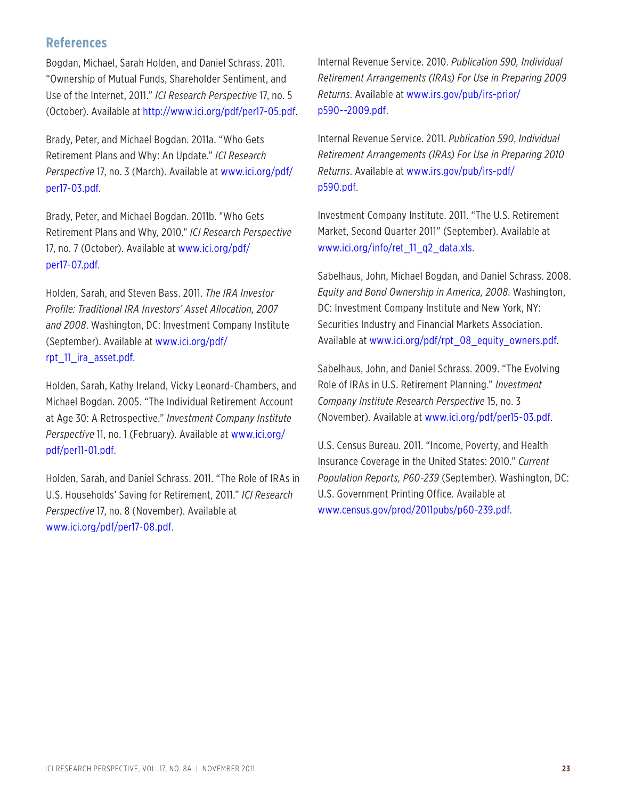#### **References**

Bogdan, Michael, Sarah Holden, and Daniel Schrass. 2011. "Ownership of Mutual Funds, Shareholder Sentiment, and Use of the Internet, 2011." *ICI Research Perspective* 17, no. 5 (October). Available at http://www.ici.org/pdf/per17-05.pdf.

Brady, Peter, and Michael Bogdan. 2011a. "Who Gets Retirement Plans and Why: An Update." *ICI Research Perspective* [17, no. 3 \(March\). Available at www.ici.org/pdf/](http://www.ici.org/pdf/per17-03.pdf) per17-03.pdf.

Brady, Peter, and Michael Bogdan. 2011b. "Who Gets Retirement Plans and Why, 2010." *ICI Research Perspective* [17, no. 7 \(October\). Available at www.ici.org/pdf/](http://www.ici.org/pdf/per17-07.pdf) per17-07.pdf.

Holden, Sarah, and Steven Bass. 2011. *The IRA Investor Profile: Traditional IRA Investors' Asset Allocation, 2007 and 2008*. Washington, DC: Investment Company Institute [\(September\). Available at www.ici.org/pdf/](http://www.ici.org/pdf/rpt_11_ira_asset.pdf) rpt\_11\_ira\_asset.pdf.

Holden, Sarah, Kathy Ireland, Vicky Leonard-Chambers, and Michael Bogdan. 2005. "The Individual Retirement Account at Age 30: A Retrospective." *Investment Company Institute Perspective* [11, no. 1 \(February\). Available at www.ici.org/](http://www.ici.org/pdf/per11-01.pdf) pdf/per11-01.pdf.

Holden, Sarah, and Daniel Schrass. 2011. "The Role of IRAs in U.S. Households' Saving for Retirement, 2011." *ICI Research Perspective* 17, no. 8 (November). Available at www.ici.org/pdf/per17-08.pdf.

Internal Revenue Service. 2010. *Publication 590, Individual Retirement Arrangements (IRAs) For Use in Preparing 2009 Returns*[. Available at www.irs.gov/pub/irs-prior/](http://www.irs.gov/pub/irs-prior/p590--2009.pdf) p590--2009.pdf.

Internal Revenue Service. 2011. *Publication 590*, *Individual Retirement Arrangements (IRAs) For Use in Preparing 2010 Returns*[. Available at www.irs.gov/pub/irs-pdf/](http://www.irs.gov/pub/irs-pdf/p590.pdf) p590.pdf.

Investment Company Institute. 2011. "The U.S. Retirement Market, Second Quarter 2011" (September). Available at www.ici.org/info/ret\_11\_q2\_data.xls.

Sabelhaus, John, Michael Bogdan, and Daniel Schrass. 2008. *Equity and Bond Ownership in America, 2008*. Washington, DC: Investment Company Institute and New York, NY: Securities Industry and Financial Markets Association. Available at www.ici.org/pdf/rpt\_08\_equity\_owners.pdf.

Sabelhaus, John, and Daniel Schrass. 2009. "The Evolving Role of IRAs in U.S. Retirement Planning." *Investment Company Institute Research Perspective* 15, no. 3 (November). Available at www.ici.org/pdf/per15-03.pdf.

U.S. Census Bureau. 2011. "Income, Poverty, and Health Insurance Coverage in the United States: 2010." *Current Population Reports, P60-239* (September). Washington, DC: U.S. Government Printing Office. Available at www.census.gov/prod/2011pubs/p60-239.pdf.